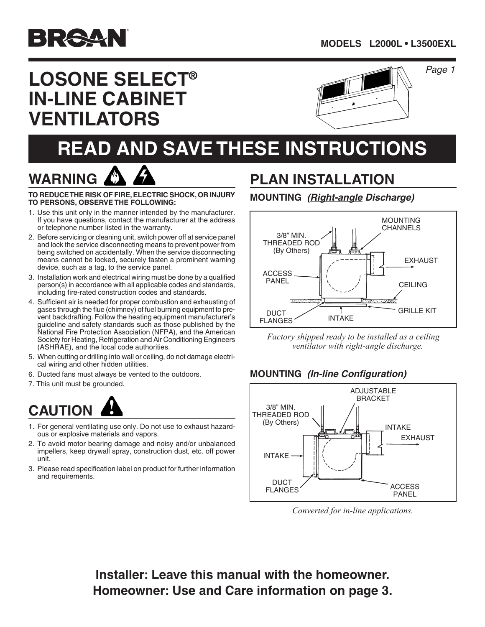

**WARNING**

# **LOSONE SELECT® IN-LINE CABINET VENTILATORS**



#### *Page*

# **READ AND SAVE THESE INSTRUCTIONS**

**TO REDUCE THE RISK OF FIRE, ELECTRIC SHOCK, OR INJURY TO PERSONS, OBSERVE THE FOLLOWING:**

- 1. Use this unit only in the manner intended by the manufacturer. If you have questions, contact the manufacturer at the address or telephone number listed in the warranty.
- 2. Before servicing or cleaning unit, switch power off at service panel and lock the service disconnecting means to prevent power from being switched on accidentally. When the service disconnecting means cannot be locked, securely fasten a prominent warning device, such as a tag, to the service panel.
- 3. Installation work and electrical wiring must be done by a qualified person(s) in accordance with all applicable codes and standards, including fire-rated construction codes and standards.
- 4. Sufficient air is needed for proper combustion and exhausting of gases through the flue (chimney) of fuel burning equipment to prevent backdrafting. Follow the heating equipment manufacturer's guideline and safety standards such as those published by the National Fire Protection Association (NFPA), and the American Society for Heating, Refrigeration and Air Conditioning Engineers (ASHRAE), and the local code authorities.
- 5. When cutting or drilling into wall or ceiling, do not damage electrical wiring and other hidden utilities.
- 6. Ducted fans must always be vented to the outdoors.
- 7. This unit must be grounded.

# **CAUTION**

- 1. For general ventilating use only. Do not use to exhaust hazardous or explosive materials and vapors.
- 2. To avoid motor bearing damage and noisy and/or unbalanced impellers, keep drywall spray, construction dust, etc. off power unit.
- 3. Please read specification label on product for further information and requirements.

## **PLAN INSTALLATION**

#### **MOUNTING** *(Right-angle Discharge)*



*Factory shipped ready to be installed as a ceiling ventilator with right-angle discharge.*

#### **MOUNTING** *(In-line Configuration)*



*Converted for in-line applications.*

**Installer: Leave this manual with the homeowner. Homeowner: Use and Care information on page 3.**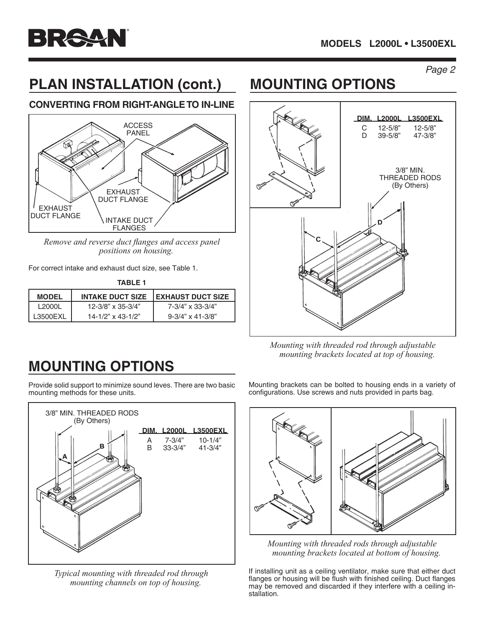

# **PLAN INSTALLATION (cont.) MOUNTING OPTIONS**

#### **CONVERTING FROM RIGHT-ANGLE TO IN-LINE**



*Remove and reverse duct flanges and access panel positions on housing.*

For correct intake and exhaust duct size, see Table 1.

| TABLE 1      |                         |                             |  |  |  |  |
|--------------|-------------------------|-----------------------------|--|--|--|--|
| <b>MODEL</b> | <b>INTAKE DUCT SIZE</b> | <b>I EXHAUST DUCT SIZE</b>  |  |  |  |  |
| L2000L       | $12 - 3/8$ " x 35-3/4"  | $7 - 3/4" \times 33 - 3/4"$ |  |  |  |  |
| L3500EXL     | $14 - 1/2$ " x 43-1/2"  | $9 - 3/4$ " x 41-3/8"       |  |  |  |  |



*Mounting with threaded rod through adjustable mounting brackets located at top of housing.*

## **MOUNTING OPTIONS**

Provide solid support to minimize sound leves. There are two basic mounting methods for these units.



*Typical mounting with threaded rod through mounting channels on top of housing.*

Mounting brackets can be bolted to housing ends in a variety of configurations. Use screws and nuts provided in parts bag.



*Mounting with threaded rods through adjustable mounting brackets located at bottom of housing.*

If installing unit as a ceiling ventilator, make sure that either duct flanges or housing will be flush with finished ceiling. Duct flanges may be removed and discarded if they interfere with a ceiling installation.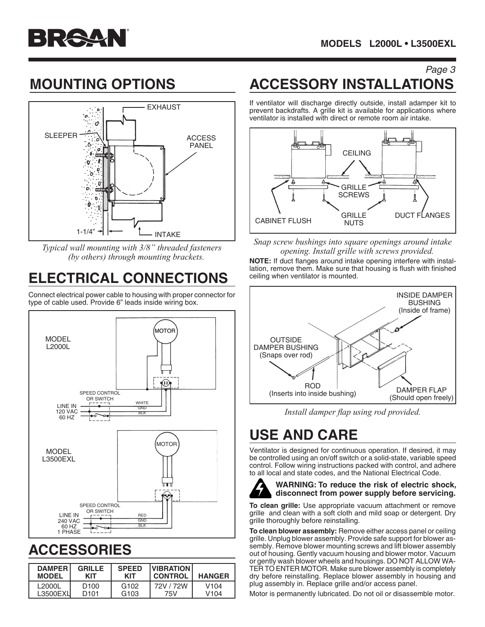

## **MOUNTING OPTIONS**



*Typical wall mounting with 3/8" threaded fasteners (by others) through mounting brackets.*

# **ELECTRICAL CONNECTIONS**

Connect electrical power cable to housing with proper connector for type of cable used. Provide 6" leads inside wiring box.



### **accessories**

| <b>DAMPER</b> | <b>GRILLE</b>    | <b>SPEED</b>     | <b>VIBRATION</b> | <b>HANGER</b>    |
|---------------|------------------|------------------|------------------|------------------|
| <b>MODEL</b>  | KIT              | KIT              | <b>CONTROL</b>   |                  |
| L2000L        | D <sub>100</sub> | G <sub>102</sub> | 72V / 72W        | V <sub>104</sub> |
| L3500EXU      | D <sub>101</sub> | G <sub>103</sub> | 75V              | V104             |

#### Page 3 **ACCESSORY INSTALLATIONS**

If ventilator will discharge directly outside, install adamper kit to prevent backdrafts. A grille kit is available for applications where ventilator is installed with direct or remote room air intake.



*Snap screw bushings into square openings around intake opening. Install grille with screws provided.*

**NOTE:** If duct flanges around intake opening interfere with installation, remove them. Make sure that housing is flush with finished ceiling when ventilator is mounted.



*Install damper flap using rod provided.*

## **USE AND CARE**

Ventilator is designed for continuous operation. If desired, it may be controlled using an on/off switch or a solid-state, variable speed control. Follow wiring instructions packed with control, and adhere to all local and state codes, and the National Electrical Code.



#### **WARNING: To reduce the risk of electric shock, disconnect from power supply before servicing.**

**To clean grille:** Use appropriate vacuum attachment or remove grille and clean with a soft cloth and mild soap or detergent. Dry grille thoroughly before reinstalling.

**To clean blower assembly:** Remove either access panel or ceiling grille. Unplug blower assembly. Provide safe support for blower assembly. Remove blower mounting screws and lift blower assembly out of housing. Gently vacuum housing and blower motor. Vacuum or gently wash blower wheels and housings. DO NOT ALLOW WA-TER TO ENTER MOTOR. Make sure blower assembly is completely dry before reinstalling. Replace blower assembly in housing and plug assembly in. Replace grille and/or access panel.

Motor is permanently lubricated. Do not oil or disassemble motor.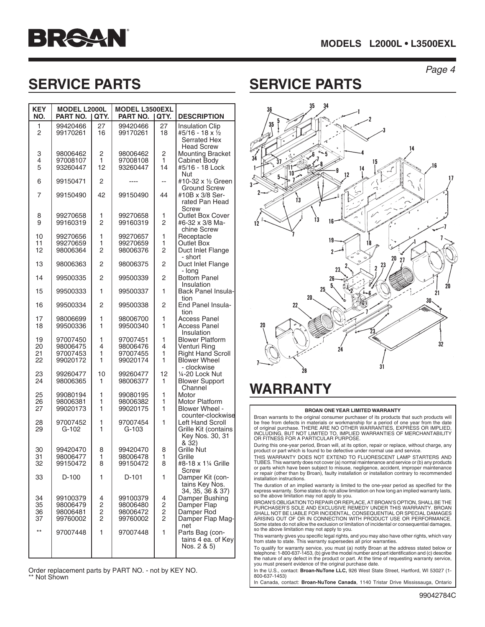



## **SERVICE PARTS SERVICE PARTS**

| <b>KEY</b><br>NO.    | <b>MODEL L2000L</b><br>PART NO.              | I QTY.                               | <b>MODEL L3500EXL</b><br>PART NO.<br>I QTY.  |                                                   | <b>DESCRIPTION</b>                                                                        |
|----------------------|----------------------------------------------|--------------------------------------|----------------------------------------------|---------------------------------------------------|-------------------------------------------------------------------------------------------|
| 1<br>$\overline{2}$  | 99420466<br>99170261                         | 27<br>16                             | 99420466<br>99170261                         | 27<br>18                                          | <b>Insulation Clip</b><br>#5/16 - 18 x 1/2<br><b>Serrated Hex</b>                         |
| 3<br>4<br>5          | 98006462<br>97008107<br>93260447             | 2<br>1<br>12                         | 98006462<br>97008108<br>93260447             | 2<br>1<br>14                                      | <b>Head Screw</b><br><b>Mounting Bracket</b><br>Cabinet Body<br>#5/16 - 18 Lock<br>Nut    |
| 6                    | 99150471                                     | 2                                    | ----                                         | --                                                | #10-32 x 1/2 Green                                                                        |
| 7                    | 99150490                                     | 42                                   | 99150490                                     | 44                                                | Ground Screw<br>#10B x 3/8 Ser-<br>rated Pan Head<br>Screw                                |
| 8<br>9               | 99270658<br>99160319                         | 1<br>$\overline{2}$                  | 99270658<br>99160319                         | 1<br>$\overline{2}$                               | Outlet Box Cover<br>#6-32 x 3/8 Ma-<br>chine Screw                                        |
| 10<br>11<br>12       | 99270656<br>99270659<br>98006364             | 1<br>1<br>$\overline{2}$             | 99270657<br>99270659<br>98006376             | 1<br>1<br>$\overline{2}$                          | Receptacle<br>Outlet Box<br>Duct Inlet Flange<br>- short                                  |
| 13                   | 98006363                                     | 2                                    | 98006375                                     | $\overline{2}$                                    | Duct Inlet Flange                                                                         |
| 14                   | 99500335                                     | 2                                    | 99500339                                     | $\overline{2}$                                    | - long<br><b>Bottom Panel</b>                                                             |
| 15                   | 99500333                                     | 1                                    | 99500337                                     | 1                                                 | Insulation<br>Back Panel Insula-<br>tion                                                  |
| 16                   | 99500334                                     | 2                                    | 99500338                                     | 2                                                 | End Panel Insula-                                                                         |
| 17<br>18             | 98006699<br>99500336                         | 1<br>1                               | 98006700<br>99500340                         | 1<br>1                                            | tion<br>Access Panel<br>Access Panel<br>Insulation                                        |
| 19<br>20<br>21<br>22 | 97007450<br>98006475<br>97007453<br>99020172 | 1<br>4<br>1<br>1                     | 97007451<br>98006476<br>97007455<br>99020174 | 1<br>4<br>1<br>1                                  | <b>Blower Platform</b><br>Venturi Ring<br><b>Right Hand Scroll</b><br><b>Blower Wheel</b> |
| 23<br>24             | 99260477<br>98006365                         | 10<br>1                              | 99260477<br>98006377                         | 12<br>1                                           | - clockwise<br>1⁄4-20 Lock Nut<br><b>Blower Support</b><br>Channel                        |
| 25<br>26<br>27       | 99080194<br>98006381<br>99020173             | 1<br>1<br>1                          | 99080195<br>98006382<br>99020175             | 1<br>1<br>1                                       | Motor<br>Motor Platform<br>Blower Wheel -<br>counter-clockwise                            |
| 28<br>29             | 97007452<br>G-102                            | 1<br>1                               | 97007454<br>G-103                            | 1                                                 | Left Hand Scroll<br>Grille Kit (contains<br>Key Nos. 30, 31<br>& 32)                      |
| 30<br>31<br>32       | 99420470<br>98006477<br>99150472             | 8<br>1<br>8                          | 99420470<br>98006478<br>99150472             | 8<br>1<br>8                                       | Grille Nut<br>Grille<br>#8-18 x 11/4 Grille<br>Screw                                      |
| 33                   | D-100                                        | 1                                    | D-101                                        | 1                                                 | Damper Kit (con-<br>tains Key Nos.<br>34, 35, 36 & 37)                                    |
| 34<br>35<br>36<br>37 | 99100379<br>98006479<br>98006481<br>99760002 | 4<br>$\frac{2}{2}$<br>$\overline{c}$ | 99100379<br>98006480<br>98006472<br>99760002 | 4<br>$\begin{array}{c}\n2 \\ 2 \\ 2\n\end{array}$ | Damper Bushing<br>Damper Flap<br>Damper Rod<br>Damper Flap Mag-<br>net                    |
| $***$                | 97007448                                     | 1                                    | 97007448                                     | 1                                                 | Parts Bag (con-<br>tains 4 ea. of Key<br>Nos. 2 & 5)                                      |

Order replacement parts by PART NO. - not by KEY NO. Not Shown



## **WARRANTY**

#### **BROAN ONE YEAR LIMITED WARRANTY**

Broan warrants to the original consumer purchaser of its products that such products will<br>be free from defects in materials or workmanship for a period of one year from the date<br>of original purchase. THERE ARE NO OTHER WAR OR FITNESS FOR A PARTICULAR PURPOSE.

During this one-year period, Broan will, at its option, repair or replace, without charge, any product or part which is found to be defective under normal use and service.

THIS WARRANTY DOES NOT EXTEND TO FLUORESCENT LAMP STARTERS AND TUBES. This warranty does not cover (a) normal maintenance and service or (b) any products or parts which have been subject to misuse, negligence, accident, improper maintenance or repair (other than by Broan), faulty installation or installation contrary to recommended installation instructions.

The duration of an implied warranty is limited to the one-year period as specified for the express warranty. Some states do not allow limitation on how long an implied warranty lasts, so the above limitation may not apply to you.

BROAN'S OBLIGATION TO REPAIR OR REPLACE, AT BROAN'S OPTION, SHALL BE THE PURCHASER'S SOLE AND EXCLUSIVE REMEDY UNDER THIS WARRANTY. BROAN SHALL NOT BE LIABLE FOR INCIDENTAL, CONSEQUENTIAL OR SPECIAL DAMAGES ARISING OUT OF OR IN CONNECTION WITH PRODUCT USE OR PERFORMANCE. Some states do not allow the exclusion or limitation of incidental or consequential damages, so the above limitation may not apply to you.

This warranty gives you specific legal rights, and you may also have other rights, which vary from state to state. This warranty supersedes all prior warranties.

To qualify for warranty service, you must (a) notify Broan at the address stated below or telephone: 1-800-637-1453, (b) give the model number and part identification and (c) describe the nature of any defect in the product or part. At the time of requesting warranty service, you must present evidence of the original purchase date.

In the U.S., contact: **Broan-NuTone LLC**, 926 West State Street, Hartford, WI 53027 (1-800-637-1453)

In Canada, contact: **Broan-NuTone Canada**, 1140 Tristar Drive Mississauga, Ontario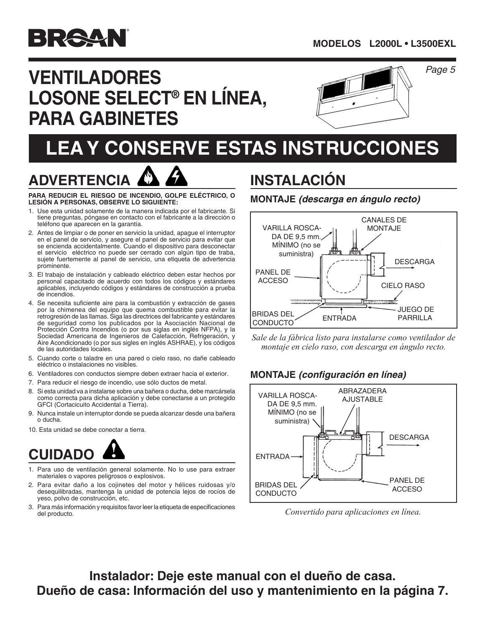

# **VENTILADORES LOSONE SELECT® EN LÍNEA, PARA GABINETES**



# **lea y conserve estas instrucciones**



**Para reducir el riesgo de incendio, golpe eléctrico, o lesión a personas, observe lo siguiente:**

- 1. Use esta unidad solamente de la manera indicada por el fabricante. Si tiene preguntas, póngase en contacto con el fabricante a la dirección o teléfono que aparecen en la garantía.
- 2. Antes de limpiar o de poner en servicio la unidad, apague el interruptor en el panel de servicio, y asegure el panel de servicio para evitar que se encienda accidentalmente. Cuando el dispositivo para desconectar el servicio eléctrico no puede ser cerrado con algún tipo de traba, sujete fuertemente al panel de servicio, una etiqueta de advertencia prominente.
- 3. El trabajo de instalación y cableado eléctrico deben estar hechos por personal capacitado de acuerdo con todos los códigos y estándares aplicables, incluyendo códigos y estándares de construcción a prueba de incendios.
- 4. Se necesita suficiente aire para la combustión y extracción de gases por la chimenea del equipo que quema combustible para evitar la retrogresión de las llamas. Siga las directrices del fabricante y estándares de seguridad como los publicados por la Asociación Nacional de Protección Contra Incendios (o por sus siglas en inglés NFPA), y la Sociedad Americana de Ingenieros de Calefacción, Refrigeración, y Aire Acondicionado (o por sus sigles en inglés ASHRAE), y los códigos de las autoridades locales.
- 5. Cuando corte o taladre en una pared o cielo raso, no dañe cableado eléctrico o instalaciones no visibles.
- 6. Ventiladores con conductos siempre deben extraer hacia el exterior.
- 7. Para reducir el riesgo de incendio, use sólo ductos de metal.
- 8. Si esta unidad va a instalarse sobre una bañera o ducha, debe marcársela como correcta para dicha aplicación y debe conectarse a un protegido GFCI (Cortacicuito Accidental a Tierra).
- 9. Nunca instale un interruptor donde se pueda alcanzar desde una bañera o ducha.
- 10. Esta unidad se debe conectar a tierra.



- 1. Para uso de ventilación general solamente. No lo use para extraer materiales o vapores peligrosos o explosivos.
- 2. Para evitar daño a los cojinetes del motor y hélices ruidosas y/o desequilibradas, mantenga la unidad de potencia lejos de rocíos de yeso, polvo de construcción, etc.
- 3. Para más información y requisitos favor leer la etiqueta de especificaciones del producto.

# **INSTALACIÓN**

#### **MONTAJE** *(descarga en ángulo recto)*



*Sale de la fábrica listo para instalarse como ventilador de montaje en cielo raso, con descarga en ángulo recto.*

#### **MONTAJE** *(configuración en línea)*



*Convertido para aplicaciones en línea.*

**Instalador: Deje este manual con el dueño de casa. Dueño de casa: Información del uso y mantenimiento en la página 7.**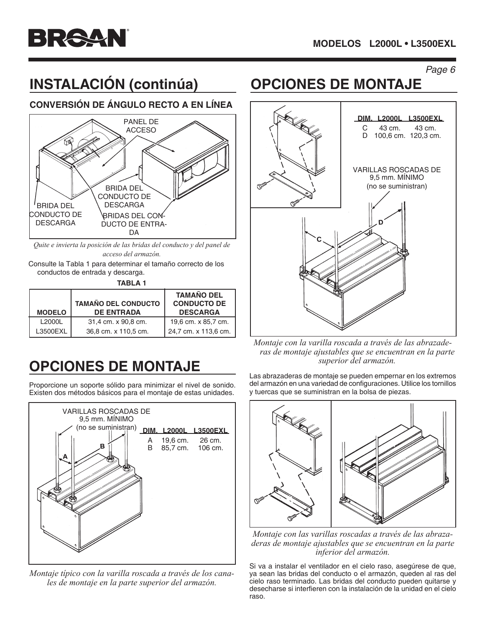

# **INSTALACIÓN (continúa) OPCIONES DE MONTAJE**

#### **CONVERSIÓN DE ÁNGULO RECTO A EN LÍNEA**



*Quite e invierta la posición de las bridas del conducto y del panel de acceso del armazón.*

Consulte la Tabla 1 para determinar el tamaño correcto de los conductos de entrada y descarga.

| <b>MODELO</b> | <b>TAMAÑO DEL CONDUCTO</b><br><b>DE ENTRADA</b> | <b>TAMAÑO DEL</b><br><b>CONDUCTO DE</b><br><b>DESCARGA</b> |
|---------------|-------------------------------------------------|------------------------------------------------------------|
| L2000L        | 31,4 cm. x 90,8 cm.                             | 19,6 cm. x 85,7 cm.                                        |
| L3500EXL      | 36,8 cm. x 110,5 cm.                            | 24,7 cm. x 113,6 cm.                                       |

# **OPCIONES DE MONTAJE**

Proporcione un soporte sólido para minimizar el nivel de sonido. Existen dos métodos básicos para el montaje de estas unidades.



*Montaje típico con la varilla roscada a través de los canales de montaje en la parte superior del armazón.*



*Montaje con la varilla roscada a través de las abrazaderas de montaje ajustables que se encuentran en la parte superior del armazón.*

Las abrazaderas de montaje se pueden empernar en los extremos del armazón en una variedad de configuraciones. Utilice los tornillos y tuercas que se suministran en la bolsa de piezas.



*Montaje con las varillas roscadas a través de las abrazaderas de montaje ajustables que se encuentran en la parte inferior del armazón.*

Si va a instalar el ventilador en el cielo raso, asegúrese de que, ya sean las bridas del conducto o el armazón, queden al ras del cielo raso terminado. Las bridas del conducto pueden quitarse y desecharse si interfieren con la instalación de la unidad en el cielo raso.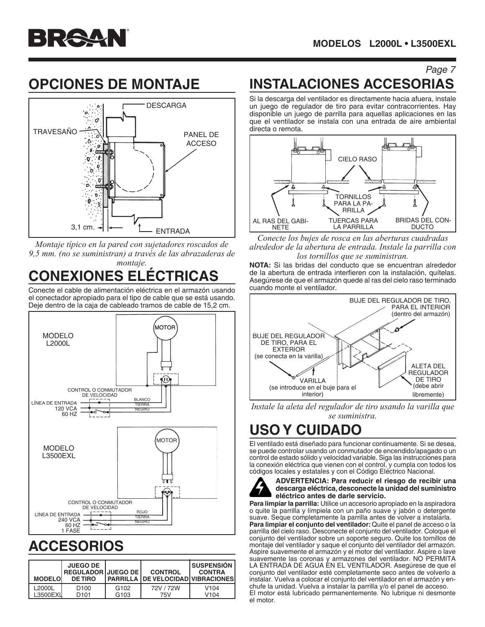

### **OPCIONES DE MONTAJE**



*Montaje típico en la pared con sujetadores roscados de 9,5 mm. (no se suministran) a través de las abrazaderas de montaje.*

# **CONEXIONES ELÉCTRICAS**

Conecte el cable de alimentación eléctrica en el armazón usando el conectador apropiado para el tipo de cable que se está usando. Deje dentro de la caja de cableado tramos de cable de 15,2 cm.



## **ACCESORIOS**

| <b>MODELO</b> | <b>JUEGO DE</b><br>l REGULADOR I JUEGO DE l<br><b>DE TIRO</b> |                  | <b>CONTROL</b><br>I PARRILLA I DE VELOCIDADI VIBRACIONESI | <b>Í SUSPENSIÓN</b><br><b>CONTRA</b> |
|---------------|---------------------------------------------------------------|------------------|-----------------------------------------------------------|--------------------------------------|
| L2000L        | D <sub>100</sub>                                              | G <sub>102</sub> | 72V / 72W                                                 | V <sub>104</sub>                     |
| L3500EXI      | D <sub>101</sub>                                              | G <sub>103</sub> | 75V                                                       | V104                                 |

#### Page 7 **INSTALACIONES ACCESORIAS**

Si la descarga del ventilador es directamente hacia afuera, instale un juego de regulador de tiro para evitar contracorrientes. Hay disponible un juego de parrilla para aquellas aplicaciones en las que el ventilador se instala con una entrada de aire ambiental directa o remota.



*Conecte los bujes de rosca en las aberturas cuadradas alrededor de la abertura de entrada. Instale la parrilla con los tornillos que se suministran.*

**NOTA:** Si las bridas del conducto que se encuentran alrededor de la abertura de entrada interfieren con la instalación, quítelas. Asegúrese de que el armazón quede al ras del cielo raso terminado cuando monte el ventilador.



*Instale la aleta del regulador de tiro usando la varilla que se suministra.*

## **USO Y CUIDADO**

El ventilado está diseñado para funcionar continuamente. Si se desea, se puede controlar usando un conmutador de encendido/apagado o un control de estado sólido y velocidad variable. Siga las instrucciones para la conexión eléctrica que vienen con el control, y cumpla con todos los códigos locales y estatales y con el Código Eléctrico Nacional.



#### **ADVERTENCIA: Para reducir el riesgo de recibir una descarga eléctrica, desconecte la unidad del suministro eléctrico antes de darle servicio.**

**Para limpiar la parrilla:** Utilice un accesorio apropiado en la aspiradora o quite la parrilla y límpiela con un paño suave y jabón o detergente suave. Seque completamente la parrilla antes de volver a instalarla.

**Para limpiar el conjunto del ventilador:** Quite el panel de acceso o la parrilla del cielo raso. Desconecte el conjunto del ventilador. Coloque el conjunto del ventilador sobre un soporte seguro. Quite los tornillos de montaje del ventilador y saque el conjunto del ventilador del armazón. Aspire suavemente el armazón y el motor del ventilador. Aspire o lave suavemente las coronas y armazones del ventilador. NO PERMITA LA ENTRADA DE AGUA EN EL VENTILADOR. Asegúrese de que el conjunto del ventilador esté completamente seco antes de volverlo a instalar. Vuelva a colocar el conjunto del ventilador en el armazón y enchufe la unidad. Vuelva a instalar la parrilla y/o el panel de acceso. El motor está lubricado permanentemente. No lubrique ni desmonte el motor.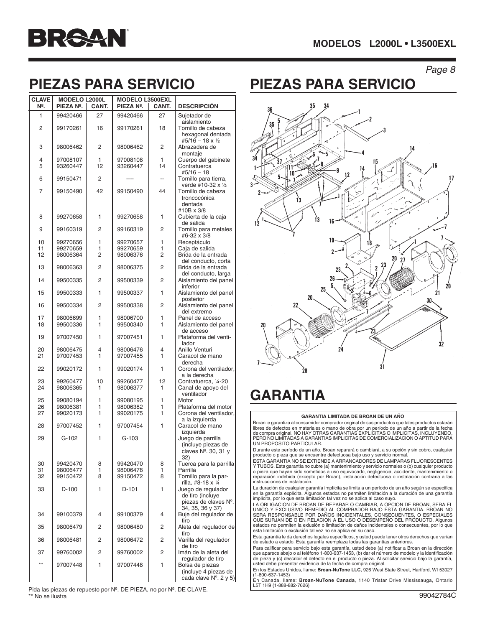| <b>CLAVE</b> | <b>MODELO L2000L</b> |                | <b>MODELO L3500EXL</b> |         |                                                |
|--------------|----------------------|----------------|------------------------|---------|------------------------------------------------|
| Ν°.          | PIEZA Nº.            | CANT.          | PIEZA Nº.              | CANT.   | <b>DESCRIPCIÓN</b>                             |
| 1            | 99420466             | 27             | 99420466               | 27      | Sujetador de<br>aislamiento                    |
| 2            | 99170261             | 16             | 99170261               | 18      | Tornillo de cabeza<br>hexagonal dentada        |
|              |                      |                |                        |         | #5/16 - 18 x 1/2                               |
| 3            | 98006462             | 2              | 98006462               | 2       | Abrazadera de<br>montaje                       |
| 4            | 97008107             | 1              | 97008108               | 1<br>14 | Cuerpo del gabinete                            |
| 5            | 93260447             | 12             | 93260447               |         | Contratuerca<br>$#5/16 - 18$                   |
| 6            | 99150471             | 2              | ----                   |         | Tornillo para tierra,<br>verde #10-32 x 1/2    |
| 7            | 99150490             | 42             | 99150490               | 44      | Tornillo de cabeza<br>troncocónica<br>dentada  |
| 8            | 99270658             | 1              | 99270658               | 1       | #10B x 3/8<br>Cubierta de la caja              |
|              |                      |                |                        |         | de salida                                      |
| 9            | 99160319             | 2              | 99160319               | 2       | Tornillo para metales<br>#6-32 x 3/8           |
| 10           | 99270656             | 1              | 99270657               | 1       | Receptáculo                                    |
| 11<br>12     | 99270659<br>98006364 | 1<br>2         | 99270659<br>98006376   | 1<br>2  | Caja de salida<br>Brida de la entrada          |
|              |                      |                |                        |         | del conducto, corta                            |
| 13           | 98006363             | 2              | 98006375               | 2       | Brida de la entrada                            |
| 14           | 99500335             | $\overline{c}$ | 99500339               | 2       | del conducto, larga<br>Aislamiento del panel   |
| 15           | 99500333             | 1              | 99500337               | 1       | inferior<br>Aislamiento del panel              |
| 16           | 99500334             | 2              | 99500338               | 2       | posterior<br>Aislamiento del panel             |
| 17           | 98006699             | 1              | 98006700               | 1       | del extremo<br>Panel de acceso                 |
| 18           | 99500336             | 1              | 99500340               | 1       | Aislamiento del panel                          |
| 19           | 97007450             | 1              | 97007451               | 1       | de acceso<br>Plataforma del venti-             |
| 20           | 98006475             | 4              | 98006476               | 4       | lador<br>Anillo Venturi                        |
| 21           | 97007453             | 1              | 97007455               | 1       | Caracol de mano                                |
| 22           | 99020172             | 1              | 99020174               | 1       | derecha<br>Corona del ventilador,              |
| 23           | 99260477             | 10             | 99260477               | 12      | a la derecha<br>Contratuerca, 1/4-20           |
| 24           | 98006365             | 1              | 98006377               | 1       | Canal de apoyo del<br>ventilador               |
| 25           | 99080194             | 1              | 99080195               | 1       | Motor                                          |
| 26<br>27     | 98006381<br>99020173 | 1<br>1         | 98006382<br>99020175   | 1<br>1  | Plataforma del motor<br>Corona del ventilador, |
| 28           | 97007452             | 1              | 97007454               | 1       | a la izquierda<br>Caracol de mano              |
|              |                      |                |                        |         | izquierda                                      |
| 29           | G-102                | 1              | $G-103$                |         | Juego de parrilla<br>(incluye piezas de        |
|              |                      |                |                        |         | claves $N^{\circ}$ . 30, 31 y                  |
| 30           | 99420470             | 8              | 99420470               | 8       | 32)<br>Tuerca para la parrilla                 |
| 31           | 98006477             | 1              | 98006478               | 1       | Parrilla                                       |
| 32           | 99150472             | 8              | 99150472               | 8       | Tornillo para la par-<br>rilla, #8-18 x ¼      |
| 33           | D-100                | 1              | $D-101$                | 1       | Juego de regulador                             |
|              |                      |                |                        |         | de tiro (incluye<br>piezas de claves Nº.       |
| 34           | 99100379             | 4              | 99100379               | 4       | 34, 35, 36 y 37)<br>Buje del regulador de      |
|              |                      |                |                        |         | tiro                                           |
| 35           | 98006479             | 2              | 98006480               | 2       | Aleta del regulador de<br>tiro                 |
| 36           | 98006481             | 2              | 98006472               | 2       | Varilla del regulador<br>de tiro               |
| 37           | 99760002             | 2              | 99760002               | 2       | Imán de la aleta del<br>regulador de tiro      |
| $***$        | 97007448             | 1              | 97007448               | 1       | Bolsa de piezas                                |
|              |                      |                |                        |         | (incluye 4 piezas de<br>cada clave Nº. 2 y 5)  |

Pida las piezas de repuesto por Nº. DE PIEZA, no por Nº. DE CLAVE.

\*\* No se ilustra

## **PIEZAS PARA SERVICIO PIEZAS PARA SERVICIO**



### **GARANTIA**

#### **GARANTIA LIMITADA DE BROAN DE UN AÑO**

Broan le garantiza al consumidor comprador original de sus productos que tales productos estarán libres de defectos en materiales o mano de obra por un período de un año a partir de la fecha<br>de compra original. NO HAY OTRAS GARANTIAS EXPLICITAS O IMPLICITAS, INCLUYENDO,<br>PERO NO LIMITADAS A GARANTIAS IMPLICITAS DE COME

Durante este período de un año, Broan reparará o cambiará, a su opción y sin cobro, cualquier producto o pieza que se encuentre defectuosa bajo uso y servicio normal.

ESTA GARANTIA NO SE EXTIENDE A ARRANCADORES DE LAMPARAS FLUORESCENTES Y TUBOS. Esta garantía no cubre (a) mantenimiento y servicio normales o (b) cualquier producto o pieza que hayan sido sometidos a uso equivocado, negligencia, accidente, mantenimiento o reparación indebida (excepto por Broan), instalación defectuosa o instalación contraria a las instrucciones de instalación.

La duración de cualquier garantía implícita se limita a un período de un año según se especifica en la garantía explícita. Algunos estados no permiten limitación a la duración de una garantía implícita, por lo que esta limitación tal vez no se aplica al caso suyo.

LA OBLIGACION DE BROAN DE REPARAR O CAMBIAR, A OPCION DE BROAN, SERA EL UNICO Y EXCLUSIVO REMEDIO AL COMPRADOR BAJO ESTA GARANTIA. BROAN NO SERA RESPONSABLE POR DAÑOS INCIDENTALES, CONSECUENTES, O ESPECIALES QUE SURJAN DE O EN RELACION A EL USO O DESEMPEÑO DEL PRODUCTO. Algunos estados no permiten la exlusión o limitación de daños incidentales o consecuentes, por lo que esta limitación o exclusión tal vez no se aplica en su caso.

Esta garantía le da derechos legales específicos, y usted puede tener otros derechos que varían de estado a estado. Esta garantía reemplaza todas las garantías anteriores.

Para calificar para servicio bajo esta garantía, usted debe (a) notificar a Broan en la dirección que aparece abajo o al teléfono 1-800-637-1453, (b) dar el número de modelo y la identificación de pieza y (c) describir el defecto en el producto o pieza. Al solicitar servicio bajo la garantía, usted debe presentar evidencia de la fecha de compra original.

En los Estados Unidos, llame: **Broan-NuTone LLC,** 926 West State Street, Hartford, WI 53027 (1-800-637-1453)

En Canada, llame: **Broan-NuTone Canada**, 1140 Tristar Drive Mississauga, Ontario L5T 1H9 (1-888-882-7626)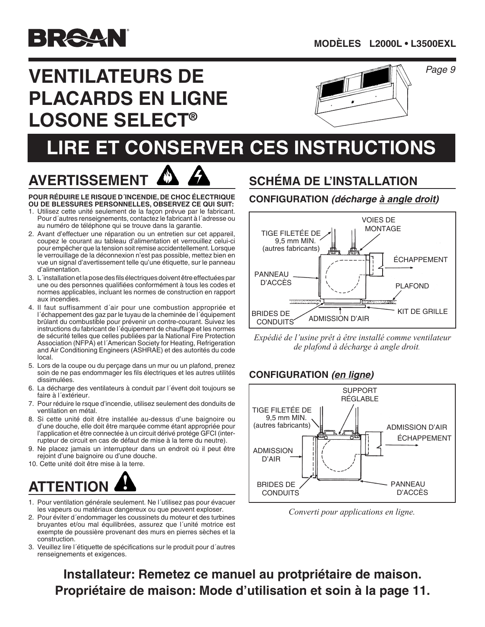

# **VENTILATEURS DE PLACARDS EN LIGNE LOSONE SELECT®**



#### Page 9

# **LIRE ET CONSERVER CES INSTRUCTIONS**

# **AVERTISSEMENT**

**POUR RÉDUIRE LE RISQUE D´INCENDIE, DE CHOC ÉLECTRIQUE OU DE BLESSURES PERSONNELLES, OBSERVEZ CE QUI SUIT:**

- 1. Utilisez cette unité seulement de la façon prévue par le fabricant. Pour d´autres renseignements, contactez le fabricant à l´adresse ou au numéro de téléphone qui se trouve dans la garantie.
- 2. Avant d'effectuer une réparation ou un entretien sur cet appareil, coupez le courant au tableau d'alimentation et verrouillez celui-ci pour empêcher que la tension soitremise accidentellement. Lorsque le verrouillage de la déconnexion n'est pas possible, mettez bien en vue un signal d'avertissement telle qu'une étiquette, sur le panneau d'alimentation.
- 3. L'installation et la pose des fils électriques doivent être effectuées par une ou des personnes qualifiées conformément à tous les codes et<br>normes applicables, incluent les normes de construction en rapport une ou des personnes qualifiées conformément à tous les codes et normes applicables, incluant les normes de construction en rapport aux incendies.
- aux incendies.<br>4. Il faut suffisamment d´air pour une combustion appropriée et<br>L´échannement des gaz par le tuvau de la cheminée de l´équinement brülant du combustible pour prévenir un contre-courant. Suivez les<br>instructions du fabricant de l´équipement de chauffage et les normes<br>de sécurité telles que celles publiées par la National Fire Protection l´échappement des gaz par le tuyau de la cheminée de l´équipement brûlant du combustible pour prévenir un contre-courant. Suivez les de sécurité telles que celles publiées par la National Fire Protection Association (NFPA) et l´American Society for Heating, Refrigeration and Air Conditioning Engineers (ASHRAE) et des autorités du code local.
- 5. Lors de la coupe ou du perçage dans un mur ou un plafond, prenez soin de ne pas endommager les fils électriques et les autres utilités dissimulées.
- 6. La décharge des ventilateurs à conduit par l´évent doit toujours se faire à l´extérieur.
- 7. Pour réduire le rsque d'incendie, utilisez seulement des donduits de ventilation en métal.
- 8. Si cette unité doit être installée au-dessus d'une baignoire ou d'une douche, elle doit être marquée comme étant appropriée pour l'application et être connectée à un circuit dérivé protége GFCI (interrupteur de circuit en cas de défaut de mise à la terre du neutre).
- 9. Ne placez jamais un interrupteur dans un endroit où il peut être rejoint d'une baignoire ou d'une douche.
- 10. Cette unité doit être mise à la terre.

# **ATTENTION**

- 1. Pour ventilation générale seulement. Ne l'utilisez pas pour évacuer les vapeurs ou matériaux dangereux ou que peuvent exploser.
- 2. Pour éviter d'endommager les coussinets du moteur et des turbines bruyantes et/ou mal équilibrées, assurez que l´unité motrice est exempte de poussière provenant des murs en pierres sèches et la construction.
- 3. Veuillez lire l´étiquette de spécifications sur le produit pour d´autres renseignements et exigences.

#### **SCHÉMA DE L'INSTALLATION**

#### **CONFIGURATION** *(décharge à angle droit)*



*Expédié de l'usine prêt à être installé comme ventilateur de plafond à décharge à angle droit.*

#### **CONFIGURATION** *(en ligne)*



*Converti pour applications en ligne.*

**Installateur: Remetez ce manuel au protpriétaire de maison. Propriétaire de maison: Mode d'utilisation et soin à la page 11.**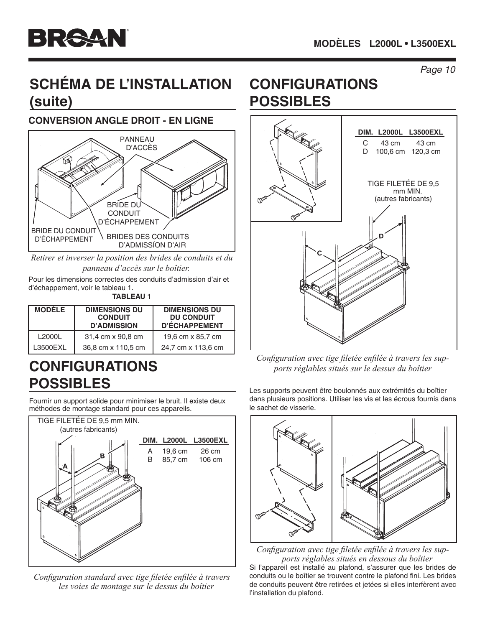## **SCHÉMA DE L'INSTALLATION (suite)**

#### **CONVERSION ANGLE DROIT - EN LIGNE**



*Retirer et inverser la position des brides de conduits et du panneau d'accès sur le boîtier.*

Pour les dimensions correctes des conduits d'admission d'air et d'échappement, voir le tableau 1.

**TABLEAU 1**

| <b>MODELE</b> | <b>DIMENSIONS DU</b><br><b>CONDUIT</b><br><b>D'ADMISSION</b> | <b>DIMENSIONS DU</b><br><b>DU CONDUIT</b><br>D'ÉCHAPPEMENT |
|---------------|--------------------------------------------------------------|------------------------------------------------------------|
| L2000L        | 31,4 cm x 90,8 cm                                            | 19,6 cm x 85,7 cm                                          |
| L3500EXL      | 36,8 cm x 110,5 cm                                           | 24,7 cm x 113,6 cm                                         |

## **CONFIGURATIONS POSSIBLES**

Fournir un support solide pour minimiser le bruit. Il existe deux méthodes de montage standard pour ces appareils.



*Configuration standard avec tige filetée enfilée à travers les voies de montage sur le dessus du boîtier*

## **CONFIGURATIONS POSSIBLES**



*Configuration avec tige filetée enfilée à travers les supports réglables situés sur le dessus du boîtier*

Les supports peuvent être boulonnés aux extrémités du boîtier dans plusieurs positions. Utiliser les vis et les écrous fournis dans le sachet de visserie.



*Configuration avec tige filetée enfilée à travers les supports réglables situés en dessous du boîtier*

Si l'appareil est installé au plafond, s'assurer que les brides de conduits ou le boîtier se trouvent contre le plafond fini. Les brides de conduits peuvent être retirées et jetées si elles interfèrent avec l'installation du plafond.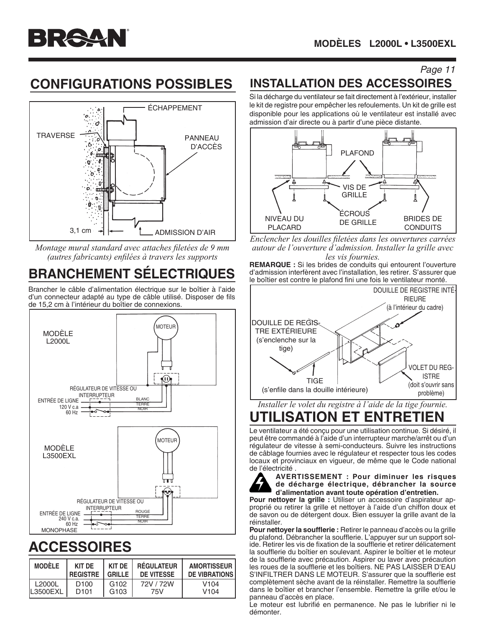

## **CONFIGURATIONS POSSIBLES**



*Montage mural standard avec attaches filetées de 9 mm (autres fabricants) enfilées à travers les supports*

## **BRANCHEMENT SÉLECTRIQUES**

Brancher le câble d'alimentation électrique sur le boîtier à l'aide d'un connecteur adapté au type de câble utilisé. Disposer de fils de 15,2 cm à l'intérieur du boîtier de connexions.



# **ACCESSOIRES**

| <b>MODÈLE</b> | KIT DF           | KIT DE           | <b>RÉGULATEUR</b> | <b>AMORTISSEUR</b>   |
|---------------|------------------|------------------|-------------------|----------------------|
|               | <b>REGISTRE</b>  | <b>GRILLE</b>    | DE VITESSE        | <b>DE VIBRATIONS</b> |
| L2000L        | D <sub>100</sub> | G <sub>102</sub> | 72V / 72W         | V <sub>104</sub>     |
| IL3500EXL     | D <sub>101</sub> | G <sub>103</sub> | 75V               | V <sub>104</sub>     |

#### **INSTALLATION DES ACCESSOIRES**

Si la décharge du ventilateur se fait directement à l'extérieur, installer le kit de registre pour empêcher les refoulements. Un kit de grille est disponible pour les applications où le ventilateur est installé avec admission d'air directe ou à partir d'une pièce distante.



*Enclencher les douilles filetées dans les ouvertures carrées autour de l'ouverture d'admission. Installer la grille avec les vis fournies.*

**REMARQUE :** Si les brides de conduits qui entourent l'ouverture d'admission interfèrent avec l'installation, les retirer. S'assurer que le boîtier est contre le plafond fini une fois le ventilateur monté.



### **UTILISATION ET ENTRETIEN**

Le ventilateur a été conçu pour une utilisation continue. Si désiré, il peut être commandé à l'aide d'un interrupteur marche/arrêt ou d'un régulateur de vitesse à semi-conducteurs. Suivre les instructions de câblage fournies avec le régulateur et respecter tous les codes locaux et provinciaux en vigueur, de même que le Code national de l'électricité .



**AVERTISSEMENT : Pour diminuer les risques de décharge électrique, débrancher la source d'alimentation avant toute opération d'entretien.**

**Pour nettoyer la grille :** Utiliser un accessoire d'aspirateur approprié ou retirer la grille et nettoyer à l'aide d'un chiffon doux et de savon ou de détergent doux. Bien essuyer la grille avant de la réinstaller.

**Pour nettoyer la soufflerie :** Retirer le panneau d'accès ou la grille du plafond. Débrancher la soufflerie. L'appuyer sur un support solide. Retirer les vis de fixation de la soufflerie et retirer délicatement la soufflerie du boîtier en soulevant. Aspirer le boîtier et le moteur de la soufflerie avec précaution. Aspirer ou laver avec précaution les roues de la soufflerie et les boîtiers. NE PAS LAISSER D'EAU S'INFILTRER DANS LE MOTEUR. S'assurer que la soufflerie est complètement sèche avant de la réinstaller. Remettre la soufflerie dans le boîtier et brancher l'ensemble. Remettre la grille et/ou le panneau d'accès en place.

Le moteur est lubrifié en permanence. Ne pas le lubrifier ni le démonter.